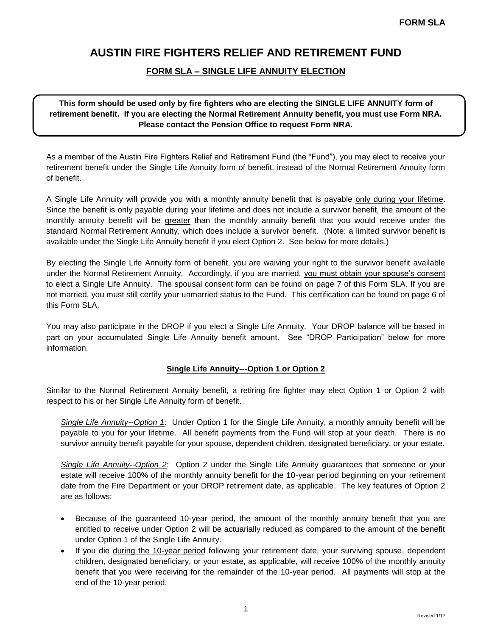### **FORM SLA – SINGLE LIFE ANNUITY ELECTION**

**This form should be used only by fire fighters who are electing the SINGLE LIFE ANNUITY form of retirement benefit. If you are electing the Normal Retirement Annuity benefit, you must use Form NRA. Please contact the Pension Office to request Form NRA.**

As a member of the Austin Fire Fighters Relief and Retirement Fund (the "Fund"), you may elect to receive your retirement benefit under the Single Life Annuity form of benefit, instead of the Normal Retirement Annuity form of benefit.

A Single Life Annuity will provide you with a monthly annuity benefit that is payable only during your lifetime. Since the benefit is only payable during your lifetime and does not include a survivor benefit, the amount of the monthly annuity benefit will be greater than the monthly annuity benefit that you would receive under the standard Normal Retirement Annuity, which does include a survivor benefit. (Note: a limited survivor benefit is available under the Single Life Annuity benefit if you elect Option 2. See below for more details.)

By electing the Single Life Annuity form of benefit, you are waiving your right to the survivor benefit available under the Normal Retirement Annuity. Accordingly, if you are married, you must obtain your spouse's consent to elect a Single Life Annuity. The spousal consent form can be found on page 7 of this Form SLA. If you are not married, you must still certify your unmarried status to the Fund. This certification can be found on page 6 of this Form SLA.

You may also participate in the DROP if you elect a Single Life Annuity. Your DROP balance will be based in part on your accumulated Single Life Annuity benefit amount. See "DROP Participation" below for more information.

#### **Single Life Annuity---Option 1 or Option 2**

Similar to the Normal Retirement Annuity benefit, a retiring fire fighter may elect Option 1 or Option 2 with respect to his or her Single Life Annuity form of benefit.

*Single Life Annuity--Option 1*: Under Option 1 for the Single Life Annuity, a monthly annuity benefit will be payable to you for your lifetime. All benefit payments from the Fund will stop at your death. There is no survivor annuity benefit payable for your spouse, dependent children, designated beneficiary, or your estate.

*Single Life Annuity--Option 2*: Option 2 under the Single Life Annuity guarantees that someone or your estate will receive 100% of the monthly annuity benefit for the 10-year period beginning on your retirement date from the Fire Department or your DROP retirement date, as applicable. The key features of Option 2 are as follows:

- Because of the guaranteed 10-year period, the amount of the monthly annuity benefit that you are entitled to receive under Option 2 will be actuarially reduced as compared to the amount of the benefit under Option 1 of the Single Life Annuity.
- If you die during the 10-year period following your retirement date, your surviving spouse, dependent children, designated beneficiary, or your estate, as applicable, will receive 100% of the monthly annuity benefit that you were receiving for the remainder of the 10-year period. All payments will stop at the end of the 10-year period.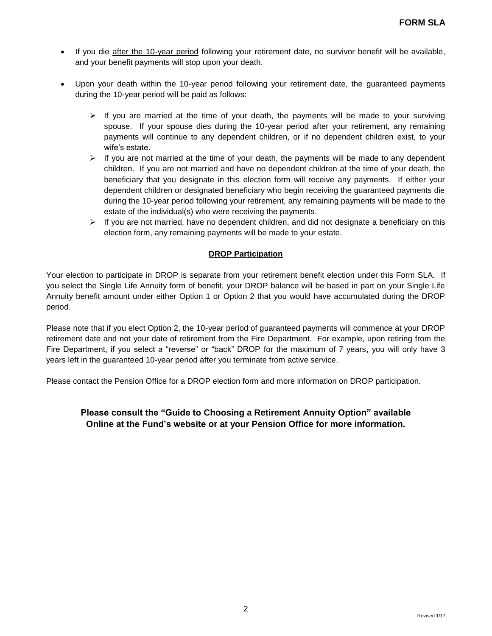- If you die after the 10-year period following your retirement date, no survivor benefit will be available, and your benefit payments will stop upon your death.
- Upon your death within the 10-year period following your retirement date, the guaranteed payments during the 10-year period will be paid as follows:
	- $\triangleright$  If you are married at the time of your death, the payments will be made to your surviving spouse. If your spouse dies during the 10-year period after your retirement, any remaining payments will continue to any dependent children, or if no dependent children exist, to your wife's estate.
	- $\triangleright$  If you are not married at the time of your death, the payments will be made to any dependent children. If you are not married and have no dependent children at the time of your death, the beneficiary that you designate in this election form will receive any payments. If either your dependent children or designated beneficiary who begin receiving the guaranteed payments die during the 10-year period following your retirement, any remaining payments will be made to the estate of the individual(s) who were receiving the payments.
	- $\triangleright$  If you are not married, have no dependent children, and did not designate a beneficiary on this election form, any remaining payments will be made to your estate.

### **DROP Participation**

Your election to participate in DROP is separate from your retirement benefit election under this Form SLA. If you select the Single Life Annuity form of benefit, your DROP balance will be based in part on your Single Life Annuity benefit amount under either Option 1 or Option 2 that you would have accumulated during the DROP period.

Please note that if you elect Option 2, the 10-year period of guaranteed payments will commence at your DROP retirement date and not your date of retirement from the Fire Department. For example, upon retiring from the Fire Department, if you select a "reverse" or "back" DROP for the maximum of 7 years, you will only have 3 years left in the guaranteed 10-year period after you terminate from active service.

Please contact the Pension Office for a DROP election form and more information on DROP participation.

## **Please consult the "Guide to Choosing a Retirement Annuity Option" available Online at the Fund's website or at your Pension Office for more information.**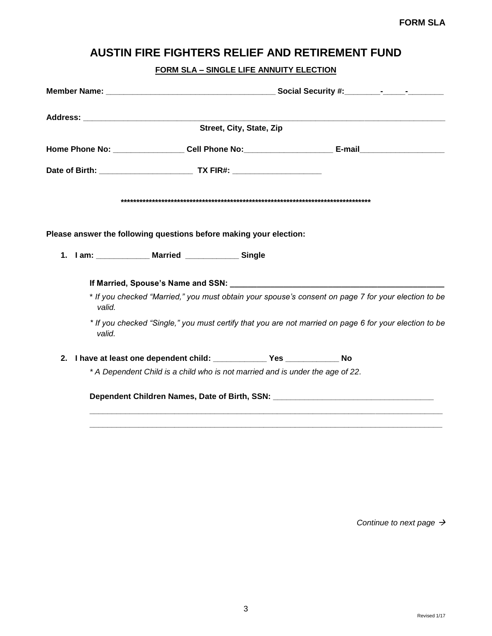## **FORM SLA – SINGLE LIFE ANNUITY ELECTION**

|         | Street, City, State, Zip                                                      |                                                                                                        |
|---------|-------------------------------------------------------------------------------|--------------------------------------------------------------------------------------------------------|
|         |                                                                               |                                                                                                        |
|         |                                                                               |                                                                                                        |
|         |                                                                               |                                                                                                        |
|         |                                                                               |                                                                                                        |
|         | Please answer the following questions before making your election:            |                                                                                                        |
|         |                                                                               |                                                                                                        |
|         |                                                                               |                                                                                                        |
| valid.  |                                                                               | * If you checked "Married," you must obtain your spouse's consent on page 7 for your election to be    |
| valid.  |                                                                               | * If you checked "Single," you must certify that you are not married on page 6 for your election to be |
| $2_{-}$ | I have at least one dependent child: ________________ Yes _______________ No  |                                                                                                        |
|         | * A Dependent Child is a child who is not married and is under the age of 22. |                                                                                                        |
|         |                                                                               |                                                                                                        |
|         |                                                                               |                                                                                                        |

*Continue to next page*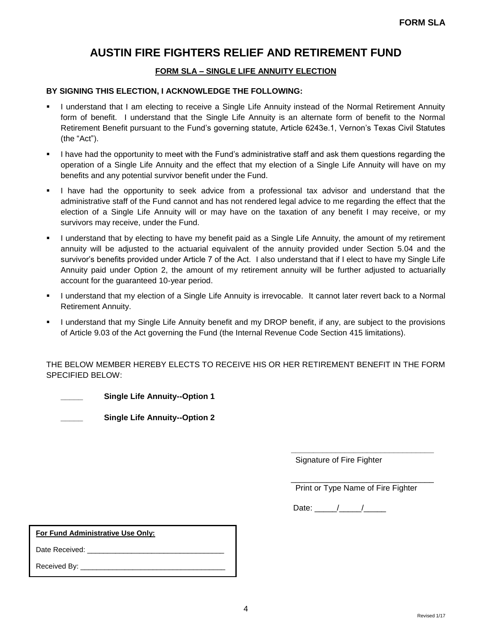### **FORM SLA – SINGLE LIFE ANNUITY ELECTION**

#### **BY SIGNING THIS ELECTION, I ACKNOWLEDGE THE FOLLOWING:**

- I understand that I am electing to receive a Single Life Annuity instead of the Normal Retirement Annuity form of benefit. I understand that the Single Life Annuity is an alternate form of benefit to the Normal Retirement Benefit pursuant to the Fund's governing statute, Article 6243e.1, Vernon's Texas Civil Statutes (the "Act").
- I have had the opportunity to meet with the Fund's administrative staff and ask them questions regarding the operation of a Single Life Annuity and the effect that my election of a Single Life Annuity will have on my benefits and any potential survivor benefit under the Fund.
- I have had the opportunity to seek advice from a professional tax advisor and understand that the administrative staff of the Fund cannot and has not rendered legal advice to me regarding the effect that the election of a Single Life Annuity will or may have on the taxation of any benefit I may receive, or my survivors may receive, under the Fund.
- I understand that by electing to have my benefit paid as a Single Life Annuity, the amount of my retirement annuity will be adjusted to the actuarial equivalent of the annuity provided under Section 5.04 and the survivor's benefits provided under Article 7 of the Act. I also understand that if I elect to have my Single Life Annuity paid under Option 2, the amount of my retirement annuity will be further adjusted to actuarially account for the guaranteed 10-year period.
- I understand that my election of a Single Life Annuity is irrevocable. It cannot later revert back to a Normal Retirement Annuity.
- I understand that my Single Life Annuity benefit and my DROP benefit, if any, are subject to the provisions of Article 9.03 of the Act governing the Fund (the Internal Revenue Code Section 415 limitations).

THE BELOW MEMBER HEREBY ELECTS TO RECEIVE HIS OR HER RETIREMENT BENEFIT IN THE FORM SPECIFIED BELOW:

**\_\_\_\_\_\_\_\_\_\_\_\_\_\_\_\_\_\_\_\_\_\_\_\_\_\_\_\_\_\_\_\_**

**\_\_\_\_\_ Single Life Annuity--Option 1** 

**\_\_\_\_\_ Single Life Annuity--Option 2** 

Signature of Fire Fighter

\_\_\_\_\_\_\_\_\_\_\_\_\_\_\_\_\_\_\_\_\_\_\_\_\_\_\_\_\_\_\_\_ Print or Type Name of Fire Fighter

Date: \_\_\_\_\_/\_\_\_\_\_/\_\_\_\_\_

**For Fund Administrative Use Only:** 

Date Received:

Received By: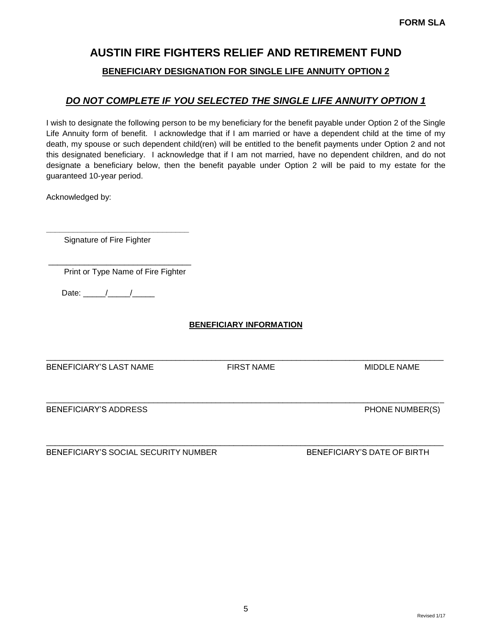## **BENEFICIARY DESIGNATION FOR SINGLE LIFE ANNUITY OPTION 2**

## *DO NOT COMPLETE IF YOU SELECTED THE SINGLE LIFE ANNUITY OPTION 1*

I wish to designate the following person to be my beneficiary for the benefit payable under Option 2 of the Single Life Annuity form of benefit. I acknowledge that if I am married or have a dependent child at the time of my death, my spouse or such dependent child(ren) will be entitled to the benefit payments under Option 2 and not this designated beneficiary. I acknowledge that if I am not married, have no dependent children, and do not designate a beneficiary below, then the benefit payable under Option 2 will be paid to my estate for the guaranteed 10-year period.

Acknowledged by:

Signature of Fire Fighter

**\_\_\_\_\_\_\_\_\_\_\_\_\_\_\_\_\_\_\_\_\_\_\_\_\_\_\_\_\_\_\_\_**

\_\_\_\_\_\_\_\_\_\_\_\_\_\_\_\_\_\_\_\_\_\_\_\_\_\_\_\_\_\_\_\_ Print or Type Name of Fire Fighter

Date:  $\frac{1}{\sqrt{2\pi}}$ 

### **BENEFICIARY INFORMATION**

\_\_\_\_\_\_\_\_\_\_\_\_\_\_\_\_\_\_\_\_\_\_\_\_\_\_\_\_\_\_\_\_\_\_\_\_\_\_\_\_\_\_\_\_\_\_\_\_\_\_\_\_\_\_\_\_\_\_\_\_\_\_\_\_\_\_\_\_\_\_\_\_\_\_\_\_\_\_\_\_\_\_\_\_\_\_\_\_\_

\_\_\_\_\_\_\_\_\_\_\_\_\_\_\_\_\_\_\_\_\_\_\_\_\_\_\_\_\_\_\_\_\_\_\_\_\_\_\_\_\_\_\_\_\_\_\_\_\_\_\_\_\_\_\_\_\_\_\_\_\_\_\_\_\_\_\_\_\_\_\_\_\_\_\_\_\_\_\_\_\_\_\_\_\_\_\_\_\_

BENEFICIARY'S LAST NAME FIRST NAME FIRST NAME MIDDLE NAME

BENEFICIARY'S ADDRESS **PHONE NUMBER(S)** 

BENEFICIARY'S SOCIAL SECURITY NUMBER BENEFICIARY'S DATE OF BIRTH

\_\_\_\_\_\_\_\_\_\_\_\_\_\_\_\_\_\_\_\_\_\_\_\_\_\_\_\_\_\_\_\_\_\_\_\_\_\_\_\_\_\_\_\_\_\_\_\_\_\_\_\_\_\_\_\_\_\_\_\_\_\_\_\_\_\_\_\_\_\_\_\_\_\_\_\_\_\_\_\_\_\_\_\_\_\_\_\_\_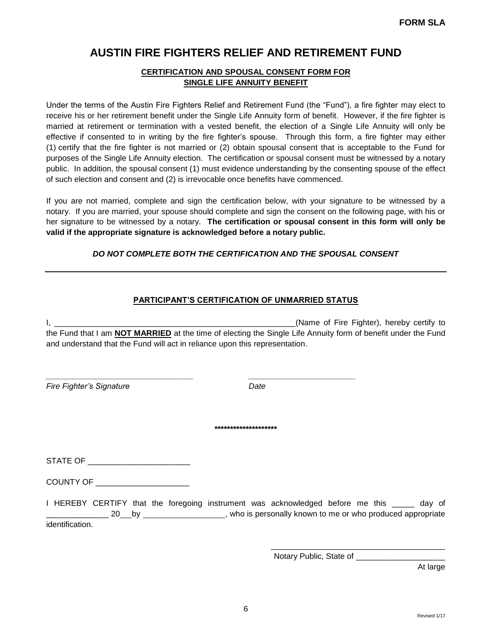### **CERTIFICATION AND SPOUSAL CONSENT FORM FOR SINGLE LIFE ANNUITY BENEFIT**

Under the terms of the Austin Fire Fighters Relief and Retirement Fund (the "Fund"), a fire fighter may elect to receive his or her retirement benefit under the Single Life Annuity form of benefit. However, if the fire fighter is married at retirement or termination with a vested benefit, the election of a Single Life Annuity will only be effective if consented to in writing by the fire fighter's spouse. Through this form, a fire fighter may either (1) certify that the fire fighter is not married or (2) obtain spousal consent that is acceptable to the Fund for purposes of the Single Life Annuity election. The certification or spousal consent must be witnessed by a notary public. In addition, the spousal consent (1) must evidence understanding by the consenting spouse of the effect of such election and consent and (2) is irrevocable once benefits have commenced.

If you are not married, complete and sign the certification below, with your signature to be witnessed by a notary. If you are married, your spouse should complete and sign the consent on the following page, with his or her signature to be witnessed by a notary. **The certification or spousal consent in this form will only be valid if the appropriate signature is acknowledged before a notary public.**

### *DO NOT COMPLETE BOTH THE CERTIFICATION AND THE SPOUSAL CONSENT*

#### **PARTICIPANT'S CERTIFICATION OF UNMARRIED STATUS**

I, \_\_\_\_\_\_\_\_\_\_\_\_\_\_\_\_\_\_\_\_\_\_\_\_\_\_\_\_\_\_\_\_\_\_\_\_\_\_\_\_\_\_\_\_\_\_\_\_\_\_\_\_\_\_(Name of Fire Fighter), hereby certify to the Fund that I am **NOT MARRIED** at the time of electing the Single Life Annuity form of benefit under the Fund and understand that the Fund will act in reliance upon this representation.

*\_\_\_\_\_\_\_\_\_\_\_\_\_\_\_\_\_\_\_\_\_\_\_\_\_\_\_\_\_\_\_\_\_ \_\_\_\_\_\_\_\_\_\_\_\_\_\_\_\_\_\_\_\_\_\_\_\_*

*Fire Fighter's Signature Date*

**\*\*\*\*\*\*\*\*\*\*\*\*\*\*\*\*\*\*\*\***

STATE OF \_\_\_\_\_\_\_\_\_\_\_\_\_\_\_\_\_\_\_\_\_\_\_\_

COUNTY OF \_\_\_\_\_\_\_\_\_\_\_\_\_\_\_\_\_\_\_\_\_

I HEREBY CERTIFY that the foregoing instrument was acknowledged before me this \_\_\_\_\_ day of Letter 20 by  $\frac{1}{20}$  by  $\frac{1}{20}$  by  $\frac{1}{20}$ , who is personally known to me or who produced appropriate identification.

Notary Public, State of \_\_\_\_\_\_\_\_\_

\_\_\_\_\_\_\_\_\_\_\_\_\_\_\_\_\_\_\_\_\_\_\_\_\_\_\_\_\_\_\_\_\_\_\_\_\_\_\_

At large